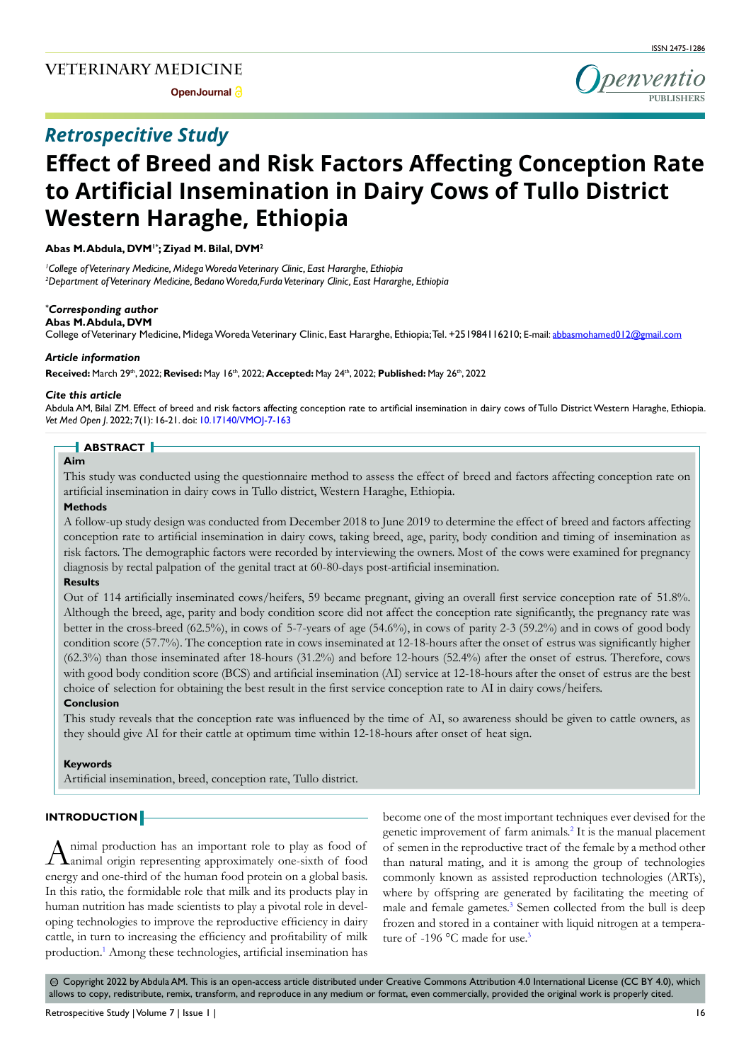**Open Journal** 

# *Retrospecitive Study*

# **Effect of Breed and Risk Factors Affecting Conception Rate to Artificial Insemination in Dairy Cows of Tullo District Western Haraghe, Ethiopia**

# **Abas M. Abdula, DVM1\*; Ziyad M. Bilal, DVM2**

*1 College of Veterinary Medicine, Midega Woreda Veterinary Clinic, East Hararghe, Ethiopia 2 Department of Veterinary Medicine, Bedano Woreda,Furda Veterinary Clinic, East Hararghe, Ethiopia*

# *\* Corresponding author*

#### **Abas M. Abdula, DVM**

College of Veterinary Medicine, Midega Woreda Veterinary Clinic, East Hararghe, Ethiopia; Tel. +251984116210; E-mail: abbasmohamed012@gmail.com

#### *Article information*

**Received:** March 29th, 2022; **Revised:** May 16th, 2022; **Accepted:** May 24th, 2022; **Published:** May 26th, 2022

#### *Cite this article*

Abdula AM, Bilal ZM. Effect of breed and risk factors affecting conception rate to artificial insemination in dairy cows of Tullo District Western Haraghe, Ethiopia. *Vet Med Open J*. 2022; 7(1): 16-21. doi: [10.17140/VMOJ-7-163](http://dx.doi.org/10.17140/VMOJ-7-163)

# **ABSTRACT**

# **Aim**

This study was conducted using the questionnaire method to assess the effect of breed and factors affecting conception rate on artificial insemination in dairy cows in Tullo district, Western Haraghe, Ethiopia.

# **Methods**

A follow-up study design was conducted from December 2018 to June 2019 to determine the effect of breed and factors affecting conception rate to artificial insemination in dairy cows, taking breed, age, parity, body condition and timing of insemination as risk factors. The demographic factors were recorded by interviewing the owners. Most of the cows were examined for pregnancy diagnosis by rectal palpation of the genital tract at 60-80-days post-artificial insemination.

#### **Results**

Out of 114 artificially inseminated cows/heifers, 59 became pregnant, giving an overall first service conception rate of 51.8%. Although the breed, age, parity and body condition score did not affect the conception rate significantly, the pregnancy rate was better in the cross-breed (62.5%), in cows of 5-7-years of age (54.6%), in cows of parity 2-3 (59.2%) and in cows of good body condition score (57.7%). The conception rate in cows inseminated at 12-18-hours after the onset of estrus was significantly higher (62.3%) than those inseminated after 18-hours (31.2%) and before 12-hours (52.4%) after the onset of estrus. Therefore, cows with good body condition score (BCS) and artificial insemination (AI) service at 12-18-hours after the onset of estrus are the best choice of selection for obtaining the best result in the first service conception rate to AI in dairy cows/heifers.

#### **Conclusion**

This study reveals that the conception rate was influenced by the time of AI, so awareness should be given to cattle owners, as they should give AI for their cattle at optimum time within 12-18-hours after onset of heat sign.

#### **Keywords**

Artificial insemination, breed, conception rate, Tullo district.

# **INTRODUCTION**

Animal production has an important role to play as food of animal origin representing approximately one-sixth of food energy and one-third of the human food protein on a global basis. In this ratio, the formidable role that milk and its products play in human nutrition has made scientists to play a pivotal role in developing technologies to improve the reproductive efficiency in dairy cattle, in turn to increasing the efficiency and profitability of milk production.<sup>1</sup> Among these technologies, artificial insemination has become one of the most important techniques ever devised for the genetic improvement of farm animals.<sup>2</sup> It is the manual placement of semen in the reproductive tract of the female by a method other than natural mating, and it is among the group of technologies commonly known as assisted reproduction technologies (ARTs), where by offspring are generated by facilitating the meeting of male and female gametes.<sup>3</sup> Semen collected from the bull is deep frozen and stored in a container with liquid nitrogen at a temperature of -196 °C made for use.<sup>3</sup>

 $\circledcirc$  Copyright 2022 by Abdula AM. This is an open-access article distributed under Creative Commons Attribution 4.0 International License (CC BY 4.0), which allows to copy, redistribute, remix, transform, and reproduce in any medium or format, even commercially, provided the original work is properly cited.

penventio

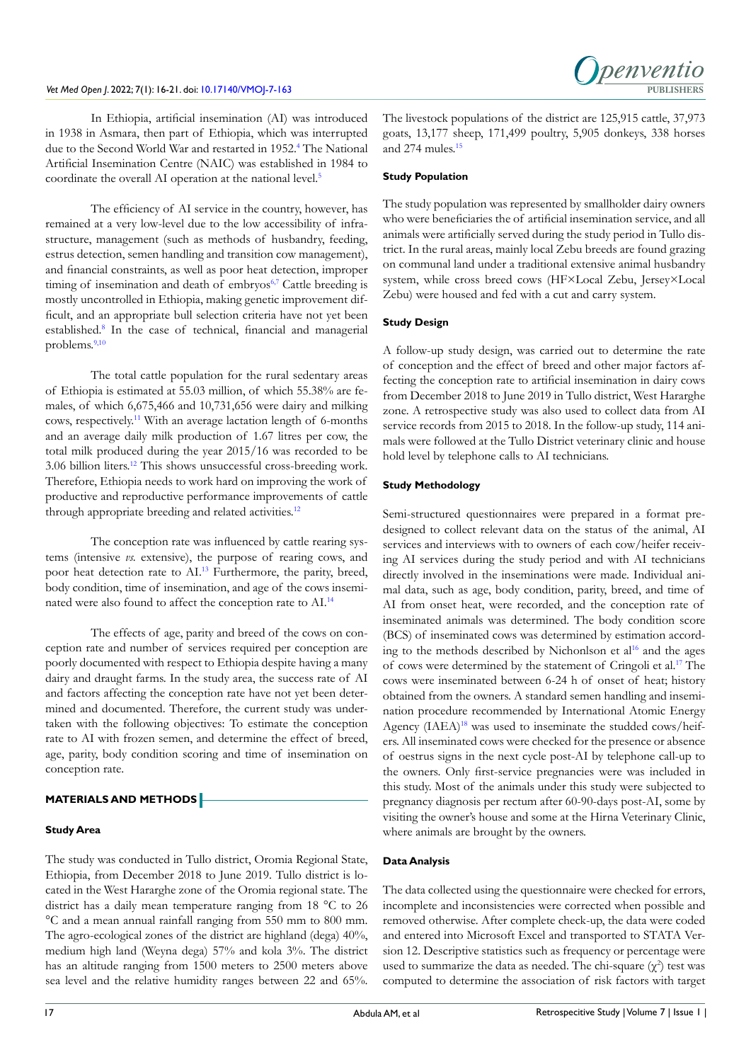In Ethiopia, artificial insemination (AI) was introduced in 1938 in Asmara, then part of Ethiopia, which was interrupted due to the Second World War and restarted in 1952.<sup>[4](#page-4-3)</sup> The National Artificial Insemination Centre (NAIC) was established in 1984 to coordinate the overall AI operation at the national level.<sup>[5](#page-4-4)</sup>

The efficiency of AI service in the country, however, has remained at a very low-level due to the low accessibility of infrastructure, management (such as methods of husbandry, feeding, estrus detection, semen handling and transition cow management), and financial constraints, as well as poor heat detection, improper timing of insemination and death of embryos<sup>[6,7](#page-4-5)</sup> Cattle breeding is mostly uncontrolled in Ethiopia, making genetic improvement difficult, and an appropriate bull selection criteria have not yet been established.<sup>[8](#page-4-6)</sup> In the case of technical, financial and managerial problems.<sup>9,10</sup>

The total cattle population for the rural sedentary areas of Ethiopia is estimated at 55.03 million, of which 55.38% are females, of which 6,675,466 and 10,731,656 were dairy and milking cows, respectively[.11](#page-4-8) With an average lactation length of 6-months and an average daily milk production of 1.67 litres per cow, the total milk produced during the year 2015/16 was recorded to be 3.06 billion liters[.12](#page-4-9) This shows unsuccessful cross-breeding work. Therefore, Ethiopia needs to work hard on improving the work of productive and reproductive performance improvements of cattle through appropriate breeding and related activities.<sup>[12](#page-4-9)</sup>

The conception rate was influenced by cattle rearing systems (intensive *vs.* extensive), the purpose of rearing cows, and poor heat detection rate to AI.[13](#page-4-10) Furthermore, the parity, breed, body condition, time of insemination, and age of the cows inseminated were also found to affect the conception rate to AI[.14](#page-4-11)

The effects of age, parity and breed of the cows on conception rate and number of services required per conception are poorly documented with respect to Ethiopia despite having a many dairy and draught farms. In the study area, the success rate of AI and factors affecting the conception rate have not yet been determined and documented. Therefore, the current study was undertaken with the following objectives: To estimate the conception rate to AI with frozen semen, and determine the effect of breed, age, parity, body condition scoring and time of insemination on conception rate.

# **MATERIALS AND METHODS**

#### **Study Area**

The study was conducted in Tullo district, Oromia Regional State, Ethiopia, from December 2018 to June 2019. Tullo district is located in the West Hararghe zone of the Oromia regional state. The district has a daily mean temperature ranging from 18 °C to 26 °C and a mean annual rainfall ranging from 550 mm to 800 mm. The agro-ecological zones of the district are highland (dega) 40%, medium high land (Weyna dega) 57% and kola 3%. The district has an altitude ranging from 1500 meters to 2500 meters above sea level and the relative humidity ranges between 22 and 65%.

The livestock populations of the district are 125,915 cattle, 37,973 goats, 13,177 sheep, 171,499 poultry, 5,905 donkeys, 338 horses and 274 mules[.15](#page-4-12)

#### **Study Population**

The study population was represented by smallholder dairy owners who were beneficiaries the of artificial insemination service, and all animals were artificially served during the study period in Tullo district. In the rural areas, mainly local Zebu breeds are found grazing on communal land under a traditional extensive animal husbandry system, while cross breed cows (HF×Local Zebu, Jersey×Local Zebu) were housed and fed with a cut and carry system.

## **Study Design**

A follow-up study design, was carried out to determine the rate of conception and the effect of breed and other major factors affecting the conception rate to artificial insemination in dairy cows from December 2018 to June 2019 in Tullo district, West Hararghe zone. A retrospective study was also used to collect data from AI service records from 2015 to 2018. In the follow-up study, 114 animals were followed at the Tullo District veterinary clinic and house hold level by telephone calls to AI technicians.

#### **Study Methodology**

Semi-structured questionnaires were prepared in a format predesigned to collect relevant data on the status of the animal, AI services and interviews with to owners of each cow/heifer receiving AI services during the study period and with AI technicians directly involved in the inseminations were made. Individual animal data, such as age, body condition, parity, breed, and time of AI from onset heat, were recorded, and the conception rate of inseminated animals was determined. The body condition score (BCS) of inseminated cows was determined by estimation accord-ing to the methods described by Nichonlson et al<sup>[16](#page-4-13)</sup> and the ages of cows were determined by the statement of Cringoli et al.[17](#page-4-14) The cows were inseminated between 6-24 h of onset of heat; history obtained from the owners. A standard semen handling and insemination procedure recommended by International Atomic Energy Agency (IAEA)<sup>[18](#page-4-15)</sup> was used to inseminate the studded cows/heifers. All inseminated cows were checked for the presence or absence of oestrus signs in the next cycle post-AI by telephone call-up to the owners. Only first-service pregnancies were was included in this study. Most of the animals under this study were subjected to pregnancy diagnosis per rectum after 60-90-days post-AI, some by visiting the owner's house and some at the Hirna Veterinary Clinic, where animals are brought by the owners.

# **Data Analysis**

The data collected using the questionnaire were checked for errors, incomplete and inconsistencies were corrected when possible and removed otherwise. After complete check-up, the data were coded and entered into Microsoft Excel and transported to STATA Version 12. Descriptive statistics such as frequency or percentage were used to summarize the data as needed. The chi-square  $(\chi^2)$  test was computed to determine the association of risk factors with target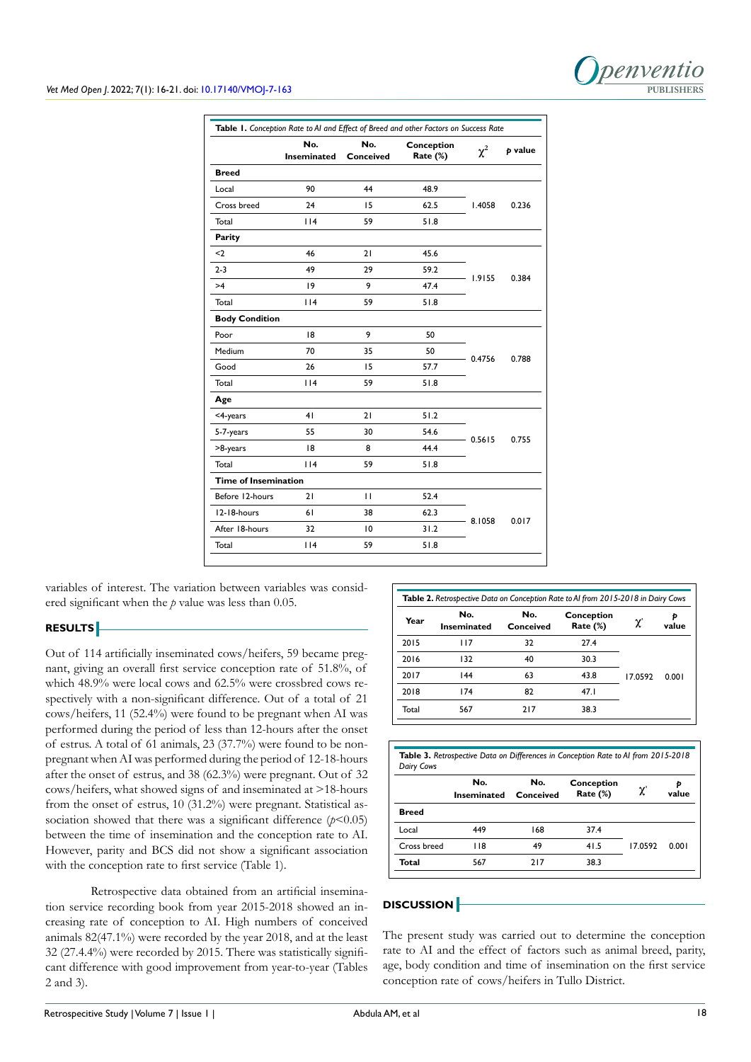# *Denventio*

## *Vet Med Open J*. 2022; 7(1): 16-21. doi: [10.17140/VMOJ-7-163](http://dx.doi.org/10.17140/VMOJ-7-163) **PUBLISHERS**

|                             | No.<br><b>Inseminated</b> | No.<br>Conceived | Conception<br>Rate (%) | $\chi^2$ | p value |
|-----------------------------|---------------------------|------------------|------------------------|----------|---------|
| <b>Breed</b>                |                           |                  |                        |          |         |
| Local                       | 90                        | 44               | 48.9                   | 1.4058   | 0.236   |
| Cross breed                 | 24                        | 15               | 62.5                   |          |         |
| Total                       | 114                       | 59               | 51.8                   |          |         |
| Parity                      |                           |                  |                        |          |         |
| $2$                         | 46                        | 21               | 45.6                   | 1.9155   | 0.384   |
| $2 - 3$                     | 49                        | 29               | 59.2                   |          |         |
| >4                          | 19                        | 9                | 47.4                   |          |         |
| Total                       | 114                       | 59               | 51.8                   |          |         |
| <b>Body Condition</b>       |                           |                  |                        |          |         |
| Poor                        | 18                        | 9                | 50                     | 0.4756   | 0.788   |
| Medium                      | 70                        | 35               | 50                     |          |         |
| Good                        | 26                        | 15               | 57.7                   |          |         |
| Total                       | 114                       | 59               | 51.8                   |          |         |
| Age                         |                           |                  |                        |          |         |
| <4-years                    | 41                        | 21               | 51.2                   | 0.5615   | 0.755   |
| 5-7-years                   | 55                        | 30               | 54.6                   |          |         |
| >8-years                    | 18                        | 8                | 44.4                   |          |         |
| Total                       | 114                       | 59               | 51.8                   |          |         |
| <b>Time of Insemination</b> |                           |                  |                        |          |         |
| Before 12-hours             | 21                        | $\mathbf{H}$     | 52.4                   | 8.1058   | 0.017   |
| 12-18-hours                 | 61                        | 38               | 62.3                   |          |         |
| After 18-hours              | 32                        | 10               | 31.2                   |          |         |
| Total                       | 114                       | 59               | 51.8                   |          |         |

variables of interest. The variation between variables was considered significant when the *p* value was less than 0.05.

# **RESULTS**

Out of 114 artificially inseminated cows/heifers, 59 became pregnant, giving an overall first service conception rate of 51.8%, of which 48.9% were local cows and 62.5% were crossbred cows respectively with a non-significant difference. Out of a total of 21 cows/heifers, 11 (52.4%) were found to be pregnant when AI was performed during the period of less than 12-hours after the onset of estrus. A total of 61 animals, 23 (37.7%) were found to be nonpregnant when AI was performed during the period of 12-18-hours after the onset of estrus, and 38 (62.3%) were pregnant. Out of 32 cows/heifers, what showed signs of and inseminated at >18-hours from the onset of estrus, 10 (31.2%) were pregnant. Statistical association showed that there was a significant difference  $(p<0.05)$ between the time of insemination and the conception rate to AI. However, parity and BCS did not show a significant association with the conception rate to first service (Table 1).

Retrospective data obtained from an artificial insemination service recording book from year 2015-2018 showed an increasing rate of conception to AI. High numbers of conceived animals 82(47.1%) were recorded by the year 2018, and at the least 32 (27.4.4%) were recorded by 2015. There was statistically significant difference with good improvement from year-to-year (Tables 2 and 3).

| Year  | No.<br>Inseminated | No.<br>Conceived | Conception<br>Rate $(\%)$ | χ       | value |
|-------|--------------------|------------------|---------------------------|---------|-------|
| 2015  | 117                | 32               | 27.4                      | 17.0592 | 0.001 |
| 2016  | 132                | 40               | 30.3                      |         |       |
| 2017  | 44                 | 63               | 43.8                      |         |       |
| 2018  | 174                | 82               | 47.1                      |         |       |
| Total | 567                | 217              | 38.3                      |         |       |

| <b>Table 3.</b> Retrospective Data on Differences in Conception Rate to Al from 2015-2018<br>Dairy Cows |                           |                  |                           |        |       |  |
|---------------------------------------------------------------------------------------------------------|---------------------------|------------------|---------------------------|--------|-------|--|
|                                                                                                         | No.<br><b>Inseminated</b> | No.<br>Conceived | Conception<br>Rate $(\%)$ |        | value |  |
| <b>Breed</b>                                                                                            |                           |                  |                           |        |       |  |
| Local                                                                                                   | 449                       | 168              | 37.4                      |        |       |  |
| Cross breed                                                                                             | 118                       | 49               | 41.5                      | 170592 | 0.001 |  |
| Total                                                                                                   | 567                       | 217              | 38.3                      |        |       |  |

# **DISCUSSION**

The present study was carried out to determine the conception rate to AI and the effect of factors such as animal breed, parity, age, body condition and time of insemination on the first service conception rate of cows/heifers in Tullo District.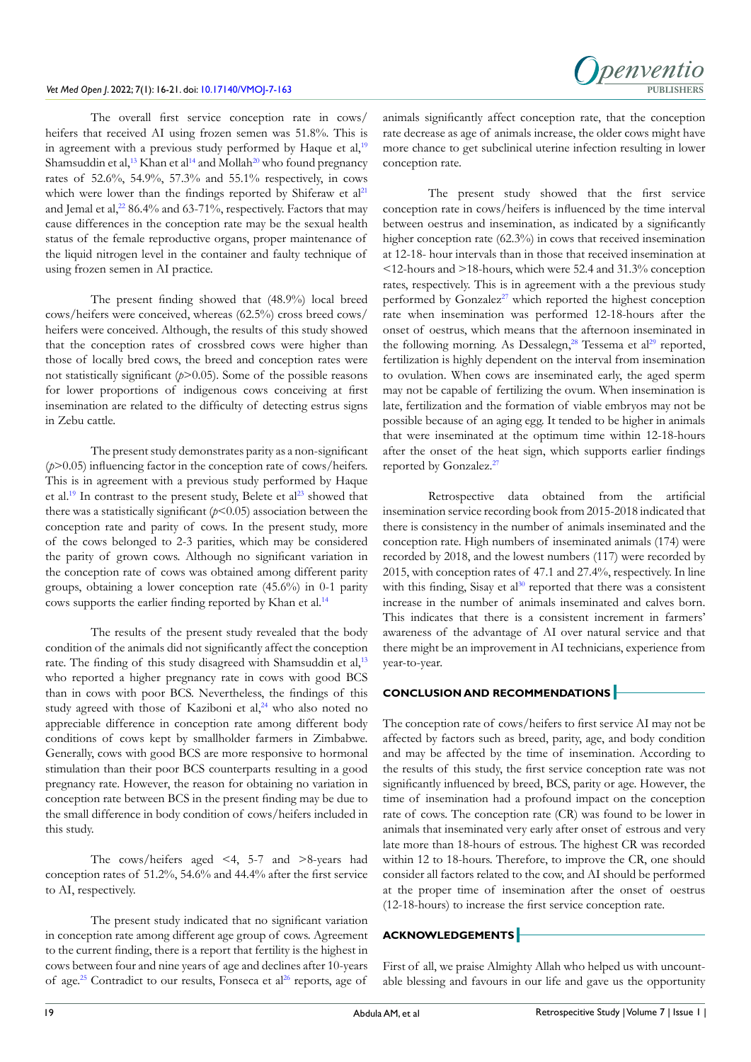The overall first service conception rate in cows/ heifers that received AI using frozen semen was 51.8%. This is in agreement with a previous study performed by Haque et al, $19$ Shamsuddin et al,<sup>13</sup> Khan et al<sup>[14](#page-4-11)</sup> and Mollah<sup>20</sup> who found pregnancy rates of 52.6%, 54.9%, 57.3% and 55.1% respectively, in cows which were lower than the findings reported by Shiferaw et al<sup>[21](#page-4-18)</sup> and Jemal et al, $^{22}$  $^{22}$  $^{22}$  86.4% and 63-71%, respectively. Factors that may cause differences in the conception rate may be the sexual health status of the female reproductive organs, proper maintenance of the liquid nitrogen level in the container and faulty technique of using frozen semen in AI practice.

The present finding showed that (48.9%) local breed cows/heifers were conceived, whereas (62.5%) cross breed cows/ heifers were conceived. Although, the results of this study showed that the conception rates of crossbred cows were higher than those of locally bred cows, the breed and conception rates were not statistically significant  $(p>0.05)$ . Some of the possible reasons for lower proportions of indigenous cows conceiving at first insemination are related to the difficulty of detecting estrus signs in Zebu cattle.

The present study demonstrates parity as a non-significant (*p*>0.05) influencing factor in the conception rate of cows/heifers. This is in agreement with a previous study performed by Haque et al.<sup>[19](#page-4-16)</sup> In contrast to the present study, Belete et al<sup>[23](#page-4-20)</sup> showed that there was a statistically significant  $(p<0.05)$  association between the conception rate and parity of cows. In the present study, more of the cows belonged to 2-3 parities, which may be considered the parity of grown cows. Although no significant variation in the conception rate of cows was obtained among different parity groups, obtaining a lower conception rate (45.6%) in 0-1 parity cows supports the earlier finding reported by Khan et al.[14](#page-4-11)

The results of the present study revealed that the body condition of the animals did not significantly affect the conception rate. The finding of this study disagreed with Shamsuddin et al,<sup>[13](#page-4-10)</sup> who reported a higher pregnancy rate in cows with good BCS than in cows with poor BCS. Nevertheless, the findings of this study agreed with those of Kaziboni et al,<sup>[24](#page-5-0)</sup> who also noted no appreciable difference in conception rate among different body conditions of cows kept by smallholder farmers in Zimbabwe. Generally, cows with good BCS are more responsive to hormonal stimulation than their poor BCS counterparts resulting in a good pregnancy rate. However, the reason for obtaining no variation in conception rate between BCS in the present finding may be due to the small difference in body condition of cows/heifers included in this study.

The cows/heifers aged <4, 5-7 and >8-years had conception rates of 51.2%, 54.6% and 44.4% after the first service to AI, respectively.

The present study indicated that no significant variation in conception rate among different age group of cows. Agreement to the current finding, there is a report that fertility is the highest in cows between four and nine years of age and declines after 10-years of age.<sup>[25](#page-5-1)</sup> Contradict to our results, Fonseca et al<sup>[26](#page-5-2)</sup> reports, age of

animals significantly affect conception rate, that the conception rate decrease as age of animals increase, the older cows might have more chance to get subclinical uterine infection resulting in lower conception rate.

The present study showed that the first service conception rate in cows/heifers is influenced by the time interval between oestrus and insemination, as indicated by a significantly higher conception rate (62.3%) in cows that received insemination at 12-18- hour intervals than in those that received insemination at <12-hours and >18-hours, which were 52.4 and 31.3% conception rates, respectively. This is in agreement with a the previous study performed by Gonzalez<sup>[27](#page-5-3)</sup> which reported the highest conception rate when insemination was performed 12-18-hours after the onset of oestrus, which means that the afternoon inseminated in the following morning. As Dessalegn,<sup>[28](#page-5-4)</sup> Tessema et al<sup>[29](#page-5-5)</sup> reported, fertilization is highly dependent on the interval from insemination to ovulation. When cows are inseminated early, the aged sperm may not be capable of fertilizing the ovum. When insemination is late, fertilization and the formation of viable embryos may not be possible because of an aging egg. It tended to be higher in animals that were inseminated at the optimum time within 12-18-hours after the onset of the heat sign, which supports earlier findings reported by Gonzalez.<sup>[27](#page-5-3)</sup>

Retrospective data obtained from the artificial insemination service recording book from 2015-2018 indicated that there is consistency in the number of animals inseminated and the conception rate. High numbers of inseminated animals (174) were recorded by 2018, and the lowest numbers (117) were recorded by 2015, with conception rates of 47.1 and 27.4%, respectively. In line with this finding, Sisay et  $al^{30}$  $al^{30}$  $al^{30}$  reported that there was a consistent increase in the number of animals inseminated and calves born. This indicates that there is a consistent increment in farmers' awareness of the advantage of AI over natural service and that there might be an improvement in AI technicians, experience from year-to-year.

# **CONCLUSION AND RECOMMENDATIONS**

The conception rate of cows/heifers to first service AI may not be affected by factors such as breed, parity, age, and body condition and may be affected by the time of insemination. According to the results of this study, the first service conception rate was not significantly influenced by breed, BCS, parity or age. However, the time of insemination had a profound impact on the conception rate of cows. The conception rate (CR) was found to be lower in animals that inseminated very early after onset of estrous and very late more than 18-hours of estrous. The highest CR was recorded within 12 to 18-hours. Therefore, to improve the CR, one should consider all factors related to the cow, and AI should be performed at the proper time of insemination after the onset of oestrus (12-18-hours) to increase the first service conception rate.

# **ACKNOWLEDGEMENTS**

First of all, we praise Almighty Allah who helped us with uncountable blessing and favours in our life and gave us the opportunity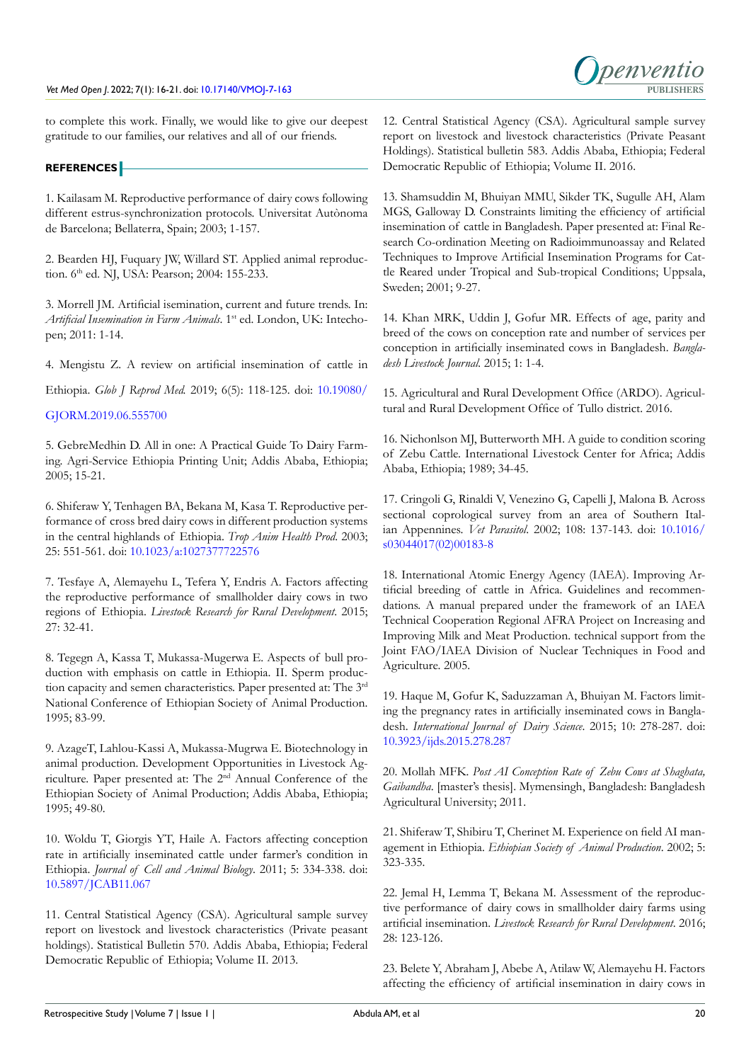to complete this work. Finally, we would like to give our deepest gratitude to our families, our relatives and all of our friends.

# **REFERENCES**

<span id="page-4-0"></span>1. Kailasam M. Reproductive performance of dairy cows following different estrus-synchronization protocols. Universitat Autònoma de Barcelona; Bellaterra, Spain; 2003; 1-157.

<span id="page-4-1"></span>2. Bearden HJ, Fuquary JW, Willard ST. Applied animal reproduction. 6<sup>th</sup> ed. NJ, USA: Pearson; 2004: 155-233.

<span id="page-4-2"></span>3. Morrell JM. Artificial isemination, current and future trends. In: Artificial Insemination in Farm Animals. 1<sup>st</sup> ed. London, UK: Intechopen; 2011: 1-14.

<span id="page-4-3"></span>4. Mengistu Z. A review on artificial insemination of cattle in

Ethiopia. *Glob J Reprod Med.* 2019; 6(5): 118-125. doi: [10.19080/](http://doi.org/10.19080/GJORM.2019.06.555700)

# [GJORM.2019.06.555700](http://doi.org/10.19080/GJORM.2019.06.555700)

<span id="page-4-4"></span>5. GebreMedhin D. All in one: A Practical Guide To Dairy Farming. Agri-Service Ethiopia Printing Unit; Addis Ababa, Ethiopia; 2005; 15-21.

<span id="page-4-5"></span>6. Shiferaw Y, Tenhagen BA, Bekana M, Kasa T. Reproductive performance of cross bred dairy cows in different production systems in the central highlands of Ethiopia. *Trop Anim Health Prod*. 2003; 25: 551-561. doi: [10.1023/a:1027377722576](http://doi.org/10.1023/a:1027377722576)

7. Tesfaye A, Alemayehu L, Tefera Y, Endris A. Factors affecting the reproductive performance of smallholder dairy cows in two regions of Ethiopia. *Livestock Research for Rural Development*. 2015; 27: 32-41.

<span id="page-4-6"></span>8. Tegegn A, Kassa T, Mukassa-Mugerwa E. Aspects of bull production with emphasis on cattle in Ethiopia. II. Sperm production capacity and semen characteristics. Paper presented at: The 3rd National Conference of Ethiopian Society of Animal Production. 1995; 83-99.

<span id="page-4-7"></span>9. AzageT, Lahlou-Kassi A, Mukassa-Mugrwa E. Biotechnology in animal production. Development Opportunities in Livestock Agriculture. Paper presented at: The 2nd Annual Conference of the Ethiopian Society of Animal Production; Addis Ababa, Ethiopia; 1995; 49-80.

10. Woldu T, Giorgis YT, Haile A. Factors affecting conception rate in artificially inseminated cattle under farmer's condition in Ethiopia. *Journal of Cell and Animal Biology*. 2011; 5: 334-338. doi: [10.5897/JCAB11.067](http://doi.org/10.5897/JCAB11.067)

<span id="page-4-8"></span>11. Central Statistical Agency (CSA). Agricultural sample survey report on livestock and livestock characteristics (Private peasant holdings). Statistical Bulletin 570. Addis Ababa, Ethiopia; Federal Democratic Republic of Ethiopia; Volume II. 2013.

<span id="page-4-9"></span>12. Central Statistical Agency (CSA). Agricultural sample survey report on livestock and livestock characteristics (Private Peasant Holdings). Statistical bulletin 583. Addis Ababa, Ethiopia; Federal Democratic Republic of Ethiopia; Volume II. 2016.

<span id="page-4-10"></span>13. Shamsuddin M, Bhuiyan MMU, Sikder TK, Sugulle AH, Alam MGS, Galloway D. Constraints limiting the efficiency of artificial insemination of cattle in Bangladesh. Paper presented at: Final Research Co-ordination Meeting on Radioimmunoassay and Related Techniques to Improve Artificial Insemination Programs for Cattle Reared under Tropical and Sub-tropical Conditions; Uppsala, Sweden; 2001; 9-27.

<span id="page-4-11"></span>14. Khan MRK, Uddin J, Gofur MR. Effects of age, parity and breed of the cows on conception rate and number of services per conception in artificially inseminated cows in Bangladesh. *Bangladesh Livestock Journal.* 2015; 1: 1-4.

<span id="page-4-12"></span>15. Agricultural and Rural Development Office (ARDO). Agricultural and Rural Development Office of Tullo district. 2016.

<span id="page-4-13"></span>16. Nichonlson MJ, Butterworth MH. A guide to condition scoring of Zebu Cattle. International Livestock Center for Africa; Addis Ababa, Ethiopia; 1989; 34-45.

<span id="page-4-14"></span>17. Cringoli G, Rinaldi V, Venezino G, Capelli J, Malona B. Across sectional coprological survey from an area of Southern Italian Appennines. *Vet Parasitol*. 2002; 108: 137-143. doi: [10.1016/](http://doi.org/10.1016/s03044017(02)00183-8) [s03044017\(02\)00183-8](http://doi.org/10.1016/s03044017(02)00183-8)

<span id="page-4-15"></span>18. International Atomic Energy Agency (IAEA). Improving Artificial breeding of cattle in Africa. Guidelines and recommendations. A manual prepared under the framework of an IAEA Technical Cooperation Regional AFRA Project on Increasing and Improving Milk and Meat Production. technical support from the Joint FAO/IAEA Division of Nuclear Techniques in Food and Agriculture. 2005.

<span id="page-4-16"></span>19. Haque M, Gofur K, Saduzzaman A, Bhuiyan M. Factors limiting the pregnancy rates in artificially inseminated cows in Bangladesh. *International Journal of Dairy Science*. 2015; 10: 278-287. doi: [10.3923/ijds.2015.278.287](http://doi.org/10.3923/ijds.2015.278.287)

<span id="page-4-17"></span>20. Mollah MFK. *Post AI Conception Rate of Zebu Cows at Shaghata, Gaibandha*. [master's thesis]. Mymensingh, Bangladesh: Bangladesh Agricultural University; 2011.

<span id="page-4-18"></span>21. Shiferaw T, Shibiru T, Cherinet M. Experience on field AI management in Ethiopia. *Ethiopian Society of Animal Production*. 2002; 5: 323-335.

<span id="page-4-19"></span>22. Jemal H, Lemma T, Bekana M. Assessment of the reproductive performance of dairy cows in smallholder dairy farms using artificial insemination. *Livestock Research for Rural Development*. 2016; 28: 123-126.

<span id="page-4-20"></span>23. Belete Y, Abraham J, Abebe A, Atilaw W, Alemayehu H. Factors affecting the efficiency of artificial insemination in dairy cows in